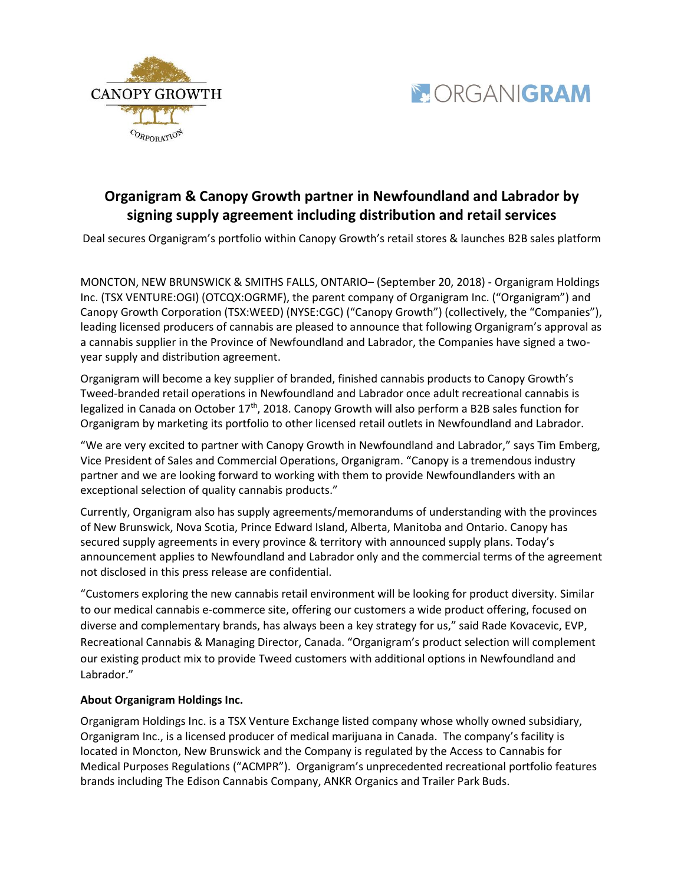



## **Organigram & Canopy Growth partner in Newfoundland and Labrador by signing supply agreement including distribution and retail services**

Deal secures Organigram's portfolio within Canopy Growth's retail stores & launches B2B sales platform

MONCTON, NEW BRUNSWICK & SMITHS FALLS, ONTARIO– (September 20, 2018) - Organigram Holdings Inc. (TSX VENTURE:OGI) (OTCQX:OGRMF), the parent company of Organigram Inc. ("Organigram") and Canopy Growth Corporation (TSX:WEED) (NYSE:CGC) ("Canopy Growth") (collectively, the "Companies"), leading licensed producers of cannabis are pleased to announce that following Organigram's approval as a cannabis supplier in the Province of Newfoundland and Labrador, the Companies have signed a twoyear supply and distribution agreement.

Organigram will become a key supplier of branded, finished cannabis products to Canopy Growth's Tweed-branded retail operations in Newfoundland and Labrador once adult recreational cannabis is legalized in Canada on October 17<sup>th</sup>, 2018. Canopy Growth will also perform a B2B sales function for Organigram by marketing its portfolio to other licensed retail outlets in Newfoundland and Labrador.

"We are very excited to partner with Canopy Growth in Newfoundland and Labrador," says Tim Emberg, Vice President of Sales and Commercial Operations, Organigram. "Canopy is a tremendous industry partner and we are looking forward to working with them to provide Newfoundlanders with an exceptional selection of quality cannabis products."

Currently, Organigram also has supply agreements/memorandums of understanding with the provinces of New Brunswick, Nova Scotia, Prince Edward Island, Alberta, Manitoba and Ontario. Canopy has secured supply agreements in every province & territory with announced supply plans. Today's announcement applies to Newfoundland and Labrador only and the commercial terms of the agreement not disclosed in this press release are confidential.

"Customers exploring the new cannabis retail environment will be looking for product diversity. Similar to our medical cannabis e-commerce site, offering our customers a wide product offering, focused on diverse and complementary brands, has always been a key strategy for us," said Rade Kovacevic, EVP, Recreational Cannabis & Managing Director, Canada. "Organigram's product selection will complement our existing product mix to provide Tweed customers with additional options in Newfoundland and Labrador."

## **About Organigram Holdings Inc.**

Organigram Holdings Inc. is a TSX Venture Exchange listed company whose wholly owned subsidiary, Organigram Inc., is a licensed producer of medical marijuana in Canada. The company's facility is located in Moncton, New Brunswick and the Company is regulated by the Access to Cannabis for Medical Purposes Regulations ("ACMPR"). Organigram's unprecedented recreational portfolio features brands including The Edison Cannabis Company, ANKR Organics and Trailer Park Buds.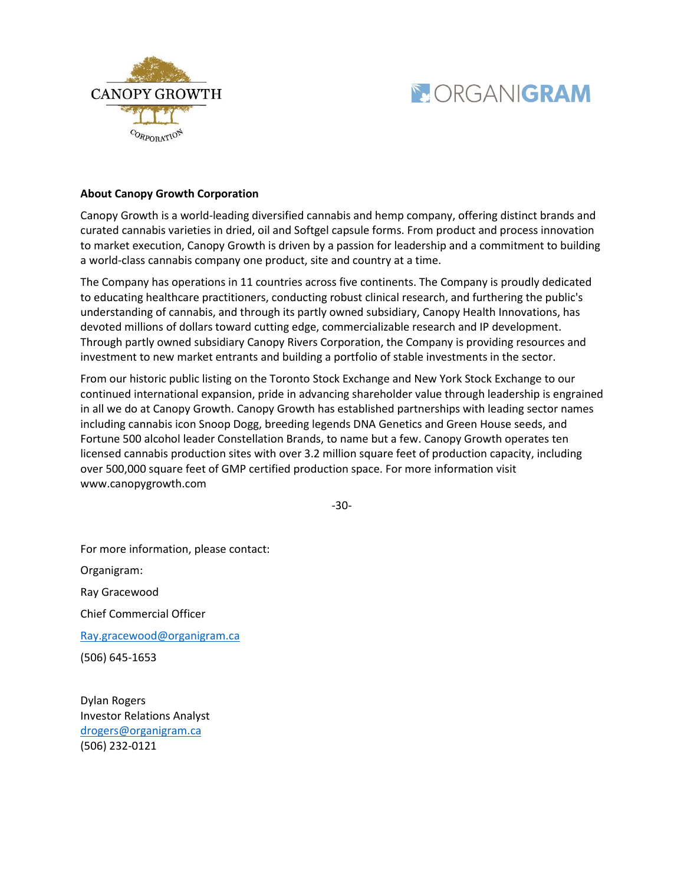



## **About Canopy Growth Corporation**

Canopy Growth is a world-leading diversified cannabis and hemp company, offering distinct brands and curated cannabis varieties in dried, oil and Softgel capsule forms. From product and process innovation to market execution, Canopy Growth is driven by a passion for leadership and a commitment to building a world-class cannabis company one product, site and country at a time.

The Company has operations in 11 countries across five continents. The Company is proudly dedicated to educating healthcare practitioners, conducting robust clinical research, and furthering the public's understanding of cannabis, and through its partly owned subsidiary, Canopy Health Innovations, has devoted millions of dollars toward cutting edge, commercializable research and IP development. Through partly owned subsidiary Canopy Rivers Corporation, the Company is providing resources and investment to new market entrants and building a portfolio of stable investments in the sector.

From our historic public listing on the Toronto Stock Exchange and New York Stock Exchange to our continued international expansion, pride in advancing shareholder value through leadership is engrained in all we do at Canopy Growth. Canopy Growth has established partnerships with leading sector names including cannabis icon Snoop Dogg, breeding legends DNA Genetics and Green House seeds, and Fortune 500 alcohol leader Constellation Brands, to name but a few. Canopy Growth operates ten licensed cannabis production sites with over 3.2 million square feet of production capacity, including over 500,000 square feet of GMP certified production space. For more information visit www.canopygrowth.com

-30-

For more information, please contact: Organigram: Ray Gracewood Chief Commercial Officer [Ray.gracewood@organigram.ca](mailto:Ray.gracewood@organigram.ca) (506) 645-1653

Dylan Rogers Investor Relations Analyst [drogers@organigram.ca](mailto:drogers@organigram.ca) (506) 232-0121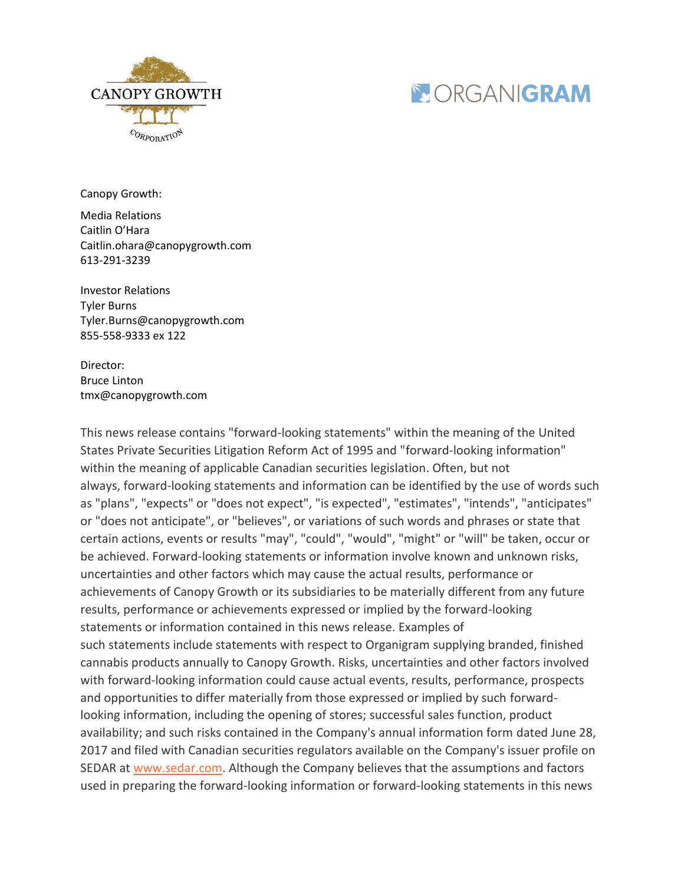



Canopy Growth:

Media Relations Caitlin O'Hara [Caitlin.ohara@canopygrowth.com](mailto:Caitlin.ohara@canopygrowth.com) 613-291-3239

Investor Relations Tyler Burns [Tyler.Burns@canopygrowth.com](mailto:Tyler.Burns@canopygrowth.com) 855-558-9333 ex 122

Director: Bruce Linton [tmx@canopygrowth.com](mailto:tmx@canopygrowth.com)

This news release contains "forward-looking statements" within the meaning of the United States Private Securities Litigation Reform Act of 1995 and "forward-looking information" within the meaning of applicable Canadian securities legislation. Often, but not always, forward-looking statements and information can be identified by the use of words such as "plans", "expects" or "does not expect", "is expected", "estimates", "intends", "anticipates" or "does not anticipate", or "believes", or variations of such words and phrases or state that certain actions, events or results "may", "could", "would", "might" or "will" be taken, occur or be achieved. Forward-looking statements or information involve known and unknown risks, uncertainties and other factors which may cause the actual results, performance or achievements of Canopy Growth or its subsidiaries to be materially different from any future results, performance or achievements expressed or implied by the forward-looking statements or information contained in this news release. Examples of such statements include statements with respect to Organigram supplying branded, finished cannabis products annually to Canopy Growth. Risks, uncertainties and other factors involved with forward-looking information could cause actual events, results, performance, prospects and opportunities to differ materially from those expressed or implied by such forwardlooking information, including the opening of stores; successful sales function, product availability; and such risks contained in the Company's annual information form dated June 28, 2017 and filed with Canadian securities regulators available on the Company's issuer profile on SEDAR at [www.sedar.com.](http://www.sedar.com/) Although the Company believes that the assumptions and factors used in preparing the forward-looking information or forward-looking statements in this news